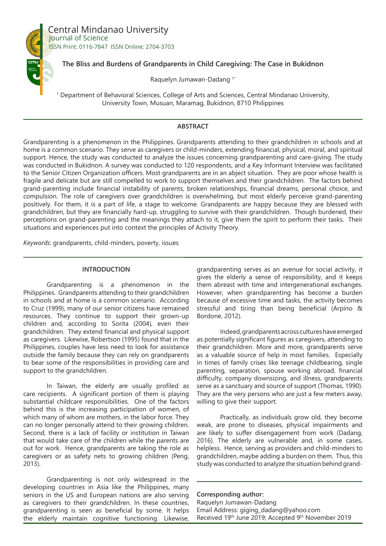

Central Mindanao University Journal of Science ISSN Print: 0116-7847 ISSN Online: 2704-3703

# **The Bliss and Burdens of Grandparents in Child Caregiving: The Case in Bukidnon**

Raquelyn Jumawan-Dadang 1\*

1 Department of Behavioral Sciences, College of Arts and Sciences, Central Mindanao University, University Town, Musuan, Maramag, Bukidnon, 8710 Philippines

## **ABSTRACT**

Grandparenting is a phenomenon in the Philippines. Grandparents attending to their grandchildren in schools and at home is a common scenario. They serve as caregivers or child-minders, extending financial, physical, moral, and spiritual support. Hence, the study was conducted to analyze the issues concerning grandparenting and care-giving. The study was conducted in Bukidnon. A survey was conducted to 120 respondents, and a Key Informant Interview was facilitated to the Senior Citizen Organization officers. Most grandparents are in an abject situation. They are poor whose health is fragile and delicate but are still compelled to work to support themselves and their grandchildren. The factors behind grand-parenting include financial instability of parents, broken relationships, financial dreams, personal choice, and compulsion. The role of caregivers over grandchildren is overwhelming, but most elderly perceive grand-parenting positively. For them, it is a part of life, a stage to welcome. Grandparents are happy because they are blessed with grandchildren, but they are financially hard-up, struggling to survive with their grandchildren. Though burdened, their perceptions on grand-parenting and the meanings they attach to it, give them the spirit to perform their tasks. Their situations and experiences put into context the principles of Activity Theory.

*Keywords*: grandparents, child-minders, poverty, issues

### **INTRODUCTION**

Grandparenting is a phenomenon in the Philippines. Grandparents attending to their grandchildren in schools and at home is a common scenario. According to Cruz (1999), many of our senior citizens have remained resources. They continue to support their grown-up children and, according to Sorita (2004), even their grandchildren. They extend financial and physical support as caregivers. Likewise, Robertson (1995) found that in the Philippines, couples have less need to look for assistance outside the family because they can rely on grandparents to bear some of the responsibilities in providing care and support to the grandchildren.

In Taiwan, the elderly are usually profiled as care recipients. A significant portion of them is playing substantial childcare responsibilities. One of the factors behind this is the increasing participation of women, of which many of whom are mothers, in the labor force. They can no longer personally attend to their growing children. Second, there is a lack of facility or institution in Taiwan that would take care of the children while the parents are out for work. Hence, grandparents are taking the role as caregivers or as safety nets to growing children (Peng, 2013).

Grandparenting is not only widespread in the developing countries in Asia like the Philippines, many seniors in the US and European nations are also serving as caregivers to their grandchildren. In these countries, grandparenting is seen as beneficial by some. It helps the elderly maintain cognitive functioning. Likewise,

grandparenting serves as an avenue for social activity, it gives the elderly a sense of responsibility, and it keeps them abreast with time and intergenerational exchanges. However, when grandparenting has become a burden because of excessive time and tasks, the activity becomes stressful and tiring than being beneficial (Arpino & Bordone, 2012).

Indeed, grandparents across cultures have emerged as potentially significant figures as caregivers, attending to their grandchildren. More and more, grandparents serve as a valuable source of help in most families. Especially in times of family crises like teenage childbearing, single parenting, separation, spouse working abroad, financial difficulty, company downsizing, and illness, grandparents serve as a sanctuary and source of support (Thomas, 1990). They are the very persons who are just a few meters away, willing to give their support.

Practically, as individuals grow old, they become weak, are prone to diseases, physical impairments and are likely to suffer disengagement from work (Dadang, 2016). The elderly are vulnerable and, in some cases, helpless. Hence, serving as providers and child-minders to grandchildren, maybe adding a burden on them. Thus, this study was conducted to analyze the situation behind grand-

**Corresponding author:** Raquelyn Jumawan-Dadang Email Address: giging\_dadang@yahoo.com Received 19th June 2019; Accepted 9th November 2019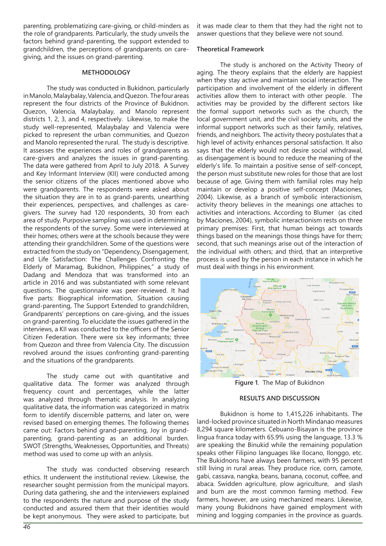parenting, problematizing care-giving, or child-minders as the role of grandparents. Particularly, the study unveils the factors behind grand-parenting, the support extended to grandchildren, the perceptions of grandparents on caregiving, and the issues on grand-parenting.

#### **METHODOLOGY**

The study was conducted in Bukidnon, particularly in Manolo, Malaybalay, Valencia, and Quezon. The four areas represent the four districts of the Province of Bukidnon. Quezon, Valencia, Malaybalay, and Manolo represent districts 1, 2, 3, and 4, respectively. Likewise, to make the study well-represented, Malaybalay and Valencia were picked to represent the urban communities, and Quezon and Manolo represented the rural. The study is descriptive. It assesses the experiences and roles of grandparents as care-givers and analyzes the issues in grand-parenting. The data were gathered from April to July 2018. A Survey and Key Informant Interview (KII) were conducted among the senior citizens of the places mentioned above who were grandparents. The respondents were asked about the situation they are in to as grand-parents, unearthing their experiences, perspectives, and challenges as caregivers. The survey had 120 respondents, 30 from each area of study. Purposive sampling was used in determining the respondents of the survey. Some were interviewed at their homes; others were at the schools because they were attending their grandchildren. Some of the questions were extracted from the study on "Dependency, Disengagement, and Life Satisfaction: The Challenges Confronting the Elderly of Maramag, Bukidnon, Philippines," a study of Dadang and Mendoza that was transformed into an article in 2016 and was substantiated with some relevant questions. The questionnaire was peer-reviewed. It had five parts: Biographical information, Situation causing grand-parenting, The Support Extended to grandchildren, Grandparents' perceptions on care-giving, and the issues on grand-parenting. To elucidate the issues gathered in the interviews, a KII was conducted to the officers of the Senior Citizen Federation. There were six key informants; three from Quezon and three from Valencia City. The discussion revolved around the issues confronting grand-parenting and the situations of the grandparents.

The study came out with quantitative and qualitative data. The former was analyzed through frequency count and percentages, while the latter was analyzed through thematic analysis. In analyzing qualitative data, the information was categorized in matrix form to identify discernible patterns, and later on, were revised based on emerging themes. The following themes came out: Factors behind grand-parenting, Joy in grandparenting, grand-parenting as an additional burden. SWOT (Strengths, Weaknesses, Opportunities, and Threats) method was used to come up with an anlysis.

The study was conducted observing research ethics. It underwent the institutional review. Likewise, the researcher sought permission from the municipal mayors. During data gathering, she and the interviewers explained to the respondents the nature and purpose of the study conducted and assured them that their identities would be kept anonymous. They were asked to participate, but it was made clear to them that they had the right not to answer questions that they believe were not sound.

#### **Theoretical Framework**

The study is anchored on the Activity Theory of aging. The theory explains that the elderly are happiest when they stay active and maintain social interaction. The participation and involvement of the elderly in different activities allow them to interact with other people. The activities may be provided by the different sectors like the formal support networks such as the church, the local government unit, and the civil society units, and the informal support networks such as their family, relatives, friends, and neighbors. The activity theory postulates that a high level of activity enhances personal satisfaction. It also says that the elderly would not desire social withdrawal, as disengagement is bound to reduce the meaning of the elderly's life. To maintain a positive sense of self-concept, the person must substitute new roles for those that are lost because of age. Giving them with familial roles may help maintain or develop a positive self-concept (Maciones, 2004). Likewise, as a branch of symbolic interactionism, activity theory believes in the meanings one attaches to activities and interactions. According to Blumer (as cited by Maciones, 2004), symbolic interactionism rests on three primary premises: First, that human beings act towards things based on the meanings those things have for them; second, that such meanings arise out of the interaction of the individual with others; and third, that an interpretive process is used by the person in each instance in which he must deal with things in his environment.



**Figure 1**. The Map of Bukidnon

#### **RESULTS AND DISCUSSION**

Bukidnon is home to 1,415,226 inhabitants. The land-locked province situated in North Mindanao measures 8,294 square kilometers. Cebuano-Bisayan is the province lingua franca today with 65.9% using the language, 13.3 % are speaking the Binukid while the remaining population speaks other Filipino languages like Ilocano, Ilonggo, etc. The Bukidnons have always been farmers, with 95 percent still living in rural areas. They produce rice, corn, camote, gabi, cassava, nangka, beans, banana, coconut, coffee, and abaca. Swidden agriculture, plow agriculture, and slash and burn are the most common farming method. Few farmers, however, are using mechanized means. Likewise, many young Bukidnons have gained employment with mining and logging companies in the province as guards.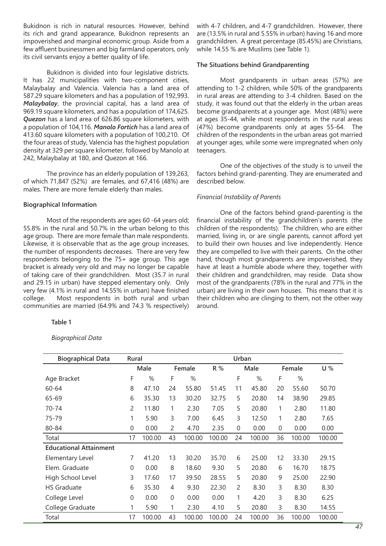Bukidnon is rich in natural resources. However, behind its rich and grand appearance, Bukidnon represents an impoverished and marginal economic group. Aside from a few affluent businessmen and big farmland operators, only its civil servants enjoy a better quality of life.

Bukidnon is divided into four legislative districts. It has 22 municipalities with two-component cities, Malaybalay and Valencia. Valencia has a land area of 587.29 square kilometers and has a population of 192,993. *Malaybalay*, the provincial capital, has a land area of 969.19 square kilometers, and has a population of 174,625. *Quezon* has a land area of 626.86 square kilometers, with a population of 104,116. *Manolo Fortich* has a land area of 413.60 square kilometers with a population of 100,210. Of the four areas of study, Valencia has the highest population density at 329 per square kilometer, followed by Manolo at 242, Malaybalay at 180, and Quezon at 166.

The province has an elderly population of 139,263, of which 71,847 (52%) are females, and 67,416 (48%) are males. There are more female elderly than males.

#### **Biographical Information**

Most of the respondents are ages 60 -64 years old; 55.8% in the rural and 50.7% in the urban belong to this age group. There are more female than male respondents. Likewise, it is observable that as the age group increases, the number of respondents decreases. There are very few respondents belonging to the 75+ age group. This age bracket is already very old and may no longer be capable of taking care of their grandchildren. Most (35.7 in rural and 29.15 in urban) have stepped elementary only. Only very few (4.1% in rural and 14.55% in urban) have finished college. Most respondents in both rural and urban communities are married (64.9% and 74.3 % respectively)

#### **Table 1**

*Biographical Data*

with 4-7 children, and 4-7 grandchildren. However, there are (13.5% in rural and 5.55% in urban) having 16 and more grandchildren. A great percentage (85.45%) are Christians, while 14.55 % are Muslims (see Table 1).

#### **The Situations behind Grandparenting**

Most grandparents in urban areas (57%) are attending to 1-2 children, while 50% of the grandparents in rural areas are attending to 3-4 children. Based on the study, it was found out that the elderly in the urban areas become grandparents at a younger age. Most (48%) were at ages 35-44, while most respondents in the rural areas (47%) become grandparents only at ages 55-64. The children of the respondents in the urban areas got married at younger ages, while some were impregnated when only teenagers.

One of the objectives of the study is to unveil the factors behind grand-parenting. They are enumerated and described below.

### *Financial Instability of Parents*

One of the factors behind grand-parenting is the financial instability of the grandchildren's parents (the children of the respondents). The children, who are either married, living in, or are single parents, cannot afford yet to build their own houses and live independently. Hence they are compelled to live with their parents. On the other hand, though most grandparents are impoverished, they have at least a humble abode where they, together with their children and grandchildren, may reside. Data show most of the grandparents (78% in the rural and 77% in the urban) are living in their own houses. This means that it is their children who are clinging to them, not the other way around.

| <b>Biographical Data</b>      | Rural          |        | Urban |        |        |      |        |          |        |        |
|-------------------------------|----------------|--------|-------|--------|--------|------|--------|----------|--------|--------|
|                               |                | Male   |       | Female | R %    | Male |        | Female   |        | U%     |
| Age Bracket                   | F              | %      | F     | %      |        | F    | %      | F        | %      |        |
| 60-64                         | 8              | 47.10  | 24    | 55.80  | 51.45  | 11   | 45.80  | 20       | 55.60  | 50.70  |
| 65-69                         | 6              | 35.30  | 13    | 30.20  | 32.75  | 5    | 20.80  | 14       | 38.90  | 29.85  |
| 70-74                         | $\overline{c}$ | 11.80  | 1     | 2.30   | 7.05   | 5    | 20.80  | 1        | 2.80   | 11.80  |
| 75-79                         | 1              | 5.90   | 3     | 7.00   | 6.45   | 3    | 12.50  | 1        | 2.80   | 7.65   |
| 80-84                         | 0              | 0.00   | 2     | 4.70   | 2.35   | 0    | 0.00   | $\Omega$ | 0.00   | 0.00   |
| Total                         | 17             | 100.00 | 43    | 100.00 | 100.00 | 24   | 100.00 | 36       | 100.00 | 100.00 |
| <b>Educational Attainment</b> |                |        |       |        |        |      |        |          |        |        |
| Elementary Level              | 7              | 41.20  | 13    | 30.20  | 35.70  | 6    | 25.00  | 12       | 33.30  | 29.15  |
| Elem. Graduate                | 0              | 0.00   | 8     | 18.60  | 9.30   | 5    | 20.80  | 6        | 16.70  | 18.75  |
| High School Level             | 3              | 17.60  | 17    | 39.50  | 28.55  | 5    | 20.80  | 9        | 25.00  | 22.90  |
| <b>HS Graduate</b>            | 6              | 35.30  | 4     | 9.30   | 22.30  | 2    | 8.30   | 3        | 8.30   | 8.30   |
| College Level                 | 0              | 0.00   | 0     | 0.00   | 0.00   | 1    | 4.20   | 3        | 8.30   | 6.25   |
| College Graduate              | 1              | 5.90   | 1     | 2.30   | 4.10   | 5    | 20.80  | 3        | 8.30   | 14.55  |
| Total                         | 17             | 100.00 | 43    | 100.00 | 100.00 | 24   | 100.00 | 36       | 100.00 | 100.00 |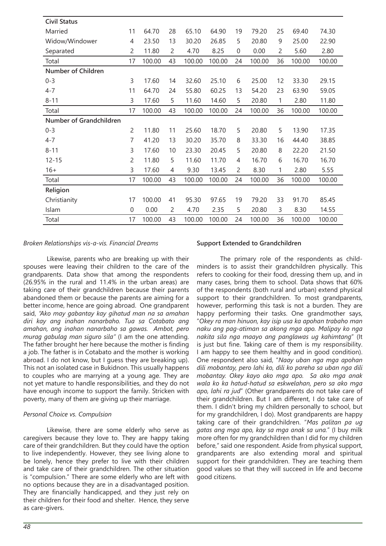| <b>Civil Status</b>       |                |        |                |        |        |    |        |    |        |        |
|---------------------------|----------------|--------|----------------|--------|--------|----|--------|----|--------|--------|
| Married                   | 11             | 64.70  | 28             | 65.10  | 64.90  | 19 | 79.20  | 25 | 69.40  | 74.30  |
| Widow/Windower            | 4              | 23.50  | 13             | 30.20  | 26.85  | 5  | 20.80  | 9  | 25.00  | 22.90  |
| Separated                 | 2              | 11.80  | $\overline{2}$ | 4.70   | 8.25   | 0  | 0.00   | 2  | 5.60   | 2.80   |
| Total                     | 17             | 100.00 | 43             | 100.00 | 100.00 | 24 | 100.00 | 36 | 100.00 | 100.00 |
| <b>Number of Children</b> |                |        |                |        |        |    |        |    |        |        |
| $0 - 3$                   | 3              | 17.60  | 14             | 32.60  | 25.10  | 6  | 25.00  | 12 | 33.30  | 29.15  |
| $4 - 7$                   | 11             | 64.70  | 24             | 55.80  | 60.25  | 13 | 54.20  | 23 | 63.90  | 59.05  |
| $8 - 11$                  | 3              | 17.60  | 5              | 11.60  | 14.60  | 5  | 20.80  | 1  | 2.80   | 11.80  |
| Total                     | 17             | 100.00 | 43             | 100.00 | 100.00 | 24 | 100.00 | 36 | 100.00 | 100.00 |
| Number of Grandchildren   |                |        |                |        |        |    |        |    |        |        |
| $0 - 3$                   | $\overline{2}$ | 11.80  | 11             | 25.60  | 18.70  | 5  | 20.80  | 5  | 13.90  | 17.35  |
| $4 - 7$                   | 7              | 41.20  | 13             | 30.20  | 35.70  | 8  | 33.30  | 16 | 44.40  | 38.85  |
| $8 - 11$                  | 3              | 17.60  | 10             | 23.30  | 20.45  | 5  | 20.80  | 8  | 22.20  | 21.50  |
| $12 - 15$                 | 2              | 11.80  | 5              | 11.60  | 11.70  | 4  | 16.70  | 6  | 16.70  | 16.70  |
| $16+$                     | 3              | 17.60  | 4              | 9.30   | 13.45  | 2  | 8.30   | 1  | 2.80   | 5.55   |
| Total                     | 17             | 100.00 | 43             | 100.00 | 100.00 | 24 | 100.00 | 36 | 100.00 | 100.00 |
| Religion                  |                |        |                |        |        |    |        |    |        |        |
| Christianity              | 17             | 100.00 | 41             | 95.30  | 97.65  | 19 | 79.20  | 33 | 91.70  | 85.45  |
| Islam                     | $\mathbf 0$    | 0.00   | $\overline{c}$ | 4.70   | 2.35   | 5  | 20.80  | 3  | 8.30   | 14.55  |
| Total                     | 17             | 100.00 | 43             | 100.00 | 100.00 | 24 | 100.00 | 36 | 100.00 | 100.00 |

### *Broken Relationships vis-a-vis. Financial Dreams*

 Likewise, parents who are breaking up with their spouses were leaving their children to the care of the grandparents. Data show that among the respondents (26.95% in the rural and 11.4% in the urban areas) are taking care of their grandchildren because their parents abandoned them or because the parents are aiming for a better income, hence are going abroad. One grandparent said, *"Ako may gabantay kay gihatud man na sa amahan diri kay ang inahan nanarbaho. Tua sa Cotabato ang amahan, ang inahan nanarbaho sa gawas. Ambot, pero murag gabulag man siguro sila"* (I am the one attending. The father brought her here because the mother is finding a job. The father is in Cotabato and the mother is working abroad. I do not know, but I guess they are breaking up). This not an isolated case in Bukidnon. This usually happens to couples who are marrying at a young age. They are not yet mature to handle responsibilities, and they do not have enough income to support the family. Stricken with poverty, many of them are giving up their marriage.

### *Personal Choice vs. Compulsion*

Likewise, there are some elderly who serve as caregivers because they love to. They are happy taking care of their grandchildren. But they could have the option to live independently. However, they see living alone to be lonely, hence they prefer to live with their children and take care of their grandchildren. The other situation is "compulsion." There are some elderly who are left with no options because they are in a disadvantaged position. They are financially handicapped, and they just rely on their children for their food and shelter. Hence, they serve as care-givers.

#### **Support Extended to Grandchildren**

The primary role of the respondents as childminders is to assist their grandchildren physically. This refers to cooking for their food, dressing them up, and in many cases, bring them to school. Data shows that 60% of the respondents (both rural and urban) extend physical support to their grandchildren. To most grandparents, however, performing this task is not a burden. They are happy performing their tasks. One grandmother says, "*Okey ra man hinuon, kay isip usa ka apohan trabaho man naku ang pag-atiman sa akong mga apo. Malipay ko nga nakita sila nga maayo ang panglawas ug kahimtang*" (It is just but fine. Taking care of them is my responsibility. I am happy to see them healthy and in good condition). One respondent also said, "*Naay uban nga mga apohan dili mobantay, pero lahi ko, dili ko pareha sa uban nga dili mobantay. Okey kayo ako mga apo. Sa ako mga anak wala ko ka hatud-hatud sa eskwelahan, pero sa ako mga apo, lahi ra jud*" (Other grandparents do not take care of their grandchildren. But I am different, I do take care of them. I didn't bring my children personally to school, but for my grandchildren, I do). Most grandparents are happy taking care of their grandchildren. "*Mas palitan pa ug gatas ang mga apo, kay sa mga anak sa una.*" (I buy milk more often for my grandchildren than I did for my children before," said one respondent. Aside from physical support, grandparents are also extending moral and spiritual support for their grandchildren. They are teaching them good values so that they will succeed in life and become good citizens.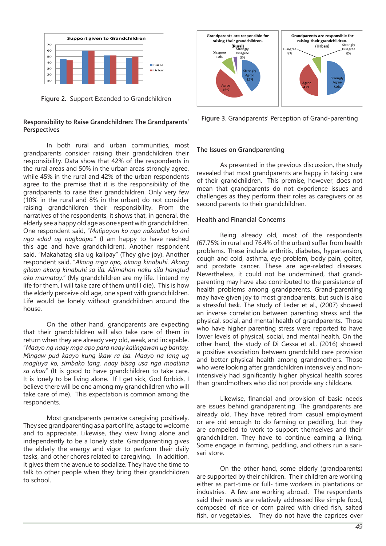

**Figure 2.** Support Extended to Grandchildren

## **Responsibility to Raise Grandchildren: The Grandparents' Perspectives**

In both rural and urban communities, most grandparents consider raising their grandchildren their responsibility. Data show that 42% of the respondents in the rural areas and 50% in the urban areas strongly agree, while 45% in the rural and 42% of the urban respondents agree to the premise that it is the responsibility of the grandparents to raise their grandchildren. Only very few (10% in the rural and 8% in the urban) do not consider raising grandchildren their responsibility. From the narratives of the respondents, it shows that, in general, the elderly see a happy old age as one spent with grandchildren. One respondent said, "*Malipayon ko nga nakaabot ko ani nga edad ug nagkaapo.*" (I am happy to have reached this age and have grandchildren). Another respondent said. "Makahatag sila ug kalipay" (They give joy). Another respondent said, "*Akong mga apo, akong kinabuhi. Akong gilaan akong kinabuhi sa ila. Alimahan naku sila hangtud ako mamatay.*" (My grandchildren are my life. I intend my life for them. I will take care of them until I die). This is how the elderly perceive old age, one spent with grandchildren. Life would be lonely without grandchildren around the house.

On the other hand, grandparents are expecting that their grandchildren will also take care of them in return when they are already very old, weak, and incapable. "*Maayo ng naay mga apo para naay kalingawan ug bantay. Mingaw pud kaayo kung ikaw ra isa. Maayo na lang ug magluya ko, simbako lang, naay bisag usa nga moalima sa akoa*" (It is good to have grandchildren to take care. It is lonely to be living alone. If I get sick, God forbids, I believe there will be one among my grandchildren who will take care of me). This expectation is common among the respondents.

Most grandparents perceive caregiving positively. They see grandparenting as a part of life, a stage to welcome and to appreciate. Likewise, they view living alone and independently to be a lonely state. Grandparenting gives the elderly the energy and vigor to perform their daily tasks, and other chores related to caregiving. In addition, it gives them the avenue to socialize. They have the time to talk to other people when they bring their grandchildren to school.



**Figure 3**. Grandparents' Perception of Grand-parenting

# **The Issues on Grandparenting**

As presented in the previous discussion, the study revealed that most grandparents are happy in taking care of their grandchildren. This premise, however, does not mean that grandparents do not experience issues and challenges as they perform their roles as caregivers or as second parents to their grandchildren.

### **Health and Financial Concerns**

Being already old, most of the respondents (67.75% in rural and 76.4% of the urban) suffer from health problems. These include arthritis, diabetes, hypertension, cough and cold, asthma, eye problem, body pain, goiter, and prostate cancer. These are age-related diseases. Nevertheless, it could not be undermined, that grandparenting may have also contributed to the persistence of health problems among grandparents. Grand-parenting may have given joy to most grandparents, but such is also a stressful task. The study of Leder et al., (2007) showed an inverse correlation between parenting stress and the physical, social, and mental health of grandparents. Those who have higher parenting stress were reported to have lower levels of physical, social, and mental health. On the other hand, the study of Di Gessa et al., (2016) showed a positive association between grandchild care provision and better physical health among grandmothers. Those who were looking after grandchildren intensively and nonintensively had significantly higher physical health scores than grandmothers who did not provide any childcare.

Likewise, financial and provision of basic needs are issues behind grandparenting. The grandparents are already old. They have retired from casual employment or are old enough to do farming or peddling, but they are compelled to work to support themselves and their grandchildren. They have to continue earning a living. Some engage in farming, peddling, and others run a sarisari store.

On the other hand, some elderly (grandparents) are supported by their children. Their children are working either as part-time or full- time workers in plantations or industries. A few are working abroad. The respondents said their needs are relatively addressed like simple food, composed of rice or corn paired with dried fish, salted fish, or vegetables. They do not have the caprices over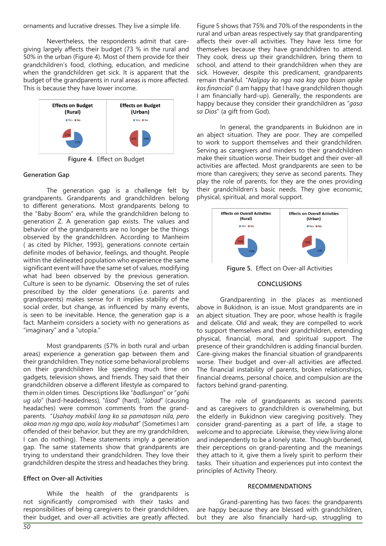ornaments and lucrative dresses. They live a simple life.

Nevertheless, the respondents admit that caregiving largely affects their budget (73 % in the rural and 50% in the urban (Figure 4). Most of them provide for their grandchildren's food, clothing, education, and medicine when the grandchildren get sick. It is apparent that the budget of the grandparents in rural areas is more affected. This is because they have lower income.



**Figure 4**. Effect on Budget

## **Generation Gap**

The generation gap is a challenge felt by grandparents. Grandparents and grandchildren belong to different generations. Most grandparents belong to the "Baby Boom" era, while the grandchildren belong to generation Z. A generation gap exists. The values and behavior of the grandparents are no longer be the things observed by the grandchildren. According to Manheim ( as cited by Pilcher, 1993), generations connote certain definite modes of behavior, feelings, and thought. People within the delineated population who experience the same significant event will have the same set of values, modifying what had been observed by the previous generation. Culture is seen to be dynamic. Observing the set of rules prescribed by the older generations (i.e. parents and grandparents) makes sense for it implies stability of the social order, but change, as influenced by many events, is seen to be inevitable. Hence, the generation gap is a fact. Manheim considers a society with no generations as "imaginary" and a "utopia."

Most grandparents (57% in both rural and urban areas) experience a generation gap between them and their grandchildren. They notice some behavioral problems on their grandchildren like spending much time on gadgets, television shows, and friends. They said that their grandchildren observe a different lifestyle as compared to them in olden times. Descriptions like "*badlungon*" or "*gahi ug ulo*" (hard-headedness), "*lisod*" (hard), "*labad*" (causing headaches) were common comments from the grandparents. "*Usahay mabikil lang ko sa pamatasan nila, pero akoa man ng mga apo, wala koy mabuhat*" (Sometimes I am offended of their behavior, but they are my grandchildren, I can do nothing). These statements imply a generation gap. The same statements show that grandparents are trying to understand their grandchildren. They love their grandchildren despite the stress and headaches they bring.

### **Effect on Over-all Activities**

While the health of the grandparents is not significantly compromised with their tasks and responsibilities of being caregivers to their grandchildren, their budget, and over-all activities are greatly affected.

Figure 5 shows that 75% and 70% of the respondents in the rural and urban areas respectively say that grandparenting affects their over-all activities. They have less time for themselves because they have grandchildren to attend. They cook, dress up their grandchildren, bring them to school, and attend to their grandchildren when they are sick. However, despite this predicament, grandparents remain thankful. "*Nalipay ko nga naa koy apo bisan apike kos financial*" (I am happy that I have grandchildren though I am financially hard-up). Generally, the respondents are happy because they consider their grandchildren as "*gasa sa Dios*" (a gift from God).

In general, the grandparents in Bukidnon are in an abject situation. They are poor. They are compelled to work to support themselves and their grandchildren. Serving as caregivers and minders to their grandchildren make their situation worse. Their budget and their over-all activities are affected. Most grandparents are seen to be more than caregivers; they serve as second parents. They play the role of parents, for they are the ones providing their grandchildren's basic needs. They give economic, physical, spiritual, and moral support.



**Figure 5.** Effect on Over-all Activities

### **CONCLUSIONS**

Grandparenting in the places as mentioned above in Bukidnon, is an issue. Most grandparents are in an abject situation. They are poor, whose health is fragile and delicate. Old and weak, they are compelled to work to support themselves and their grandchildren, extending physical, financial, moral, and spiritual support. The presence of their grandchildren is adding financial burden. Care-giving makes the financial situation of grandparents worse. Their budget and over-all activities are affected. The financial instability of parents, broken relationships, financial dreams, personal choice, and compulsion are the factors behind grand-parenting.

The role of grandparents as second parents and as caregivers to grandchildren is overwhelming, but the elderly in Bukidnon view caregiving positively. They consider grand-parenting as a part of life, a stage to welcome and to appreciate. Likewise, they view living alone and independently to be a lonely state. Though burdened, their perceptions on grand-parenting and the meanings they attach to it, give them a lively spirit to perform their tasks. Their situation and experiences put into context the principles of Activity Theory.

### **RECOMMENDATIONS**

Grand-parenting has two faces: the grandparents are happy because they are blessed with grandchildren, but they are also financially hard-up, struggling to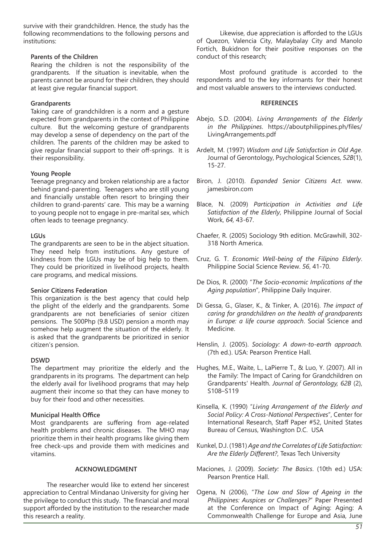survive with their grandchildren. Hence, the study has the following recommendations to the following persons and institutions:

### **Parents of the Children**

Rearing the children is not the responsibility of the grandparents. If the situation is inevitable, when the parents cannot be around for their children, they should at least give regular financial support.

## **Grandparents**

Taking care of grandchildren is a norm and a gesture expected from grandparents in the context of Philippine culture. But the welcoming gesture of grandparents may develop a sense of dependency on the part of the children. The parents of the children may be asked to give regular financial support to their off-springs. It is their responsibility.

## **Young People**

Teenage pregnancy and broken relationship are a factor behind grand-parenting. Teenagers who are still young and financially unstable often resort to bringing their children to grand-parents' care. This may be a warning to young people not to engage in pre-marital sex, which often leads to teenage pregnancy.

## **LGUs**

The grandparents are seen to be in the abject situation. They need help from institutions. Any gesture of kindness from the LGUs may be of big help to them. They could be prioritized in livelihood projects, health care programs, and medical missions.

### **Senior Citizens Federation**

This organization is the best agency that could help the plight of the elderly and the grandparents. Some grandparents are not beneficiaries of senior citizen pensions. The 500Php (9.8 USD) pension a month may somehow help augment the situation of the elderly. It is asked that the grandparents be prioritized in senior citizen's pension.

# **DSWD**

The department may prioritize the elderly and the grandparents in its programs. The department can help the elderly avail for livelihood programs that may help augment their income so that they can have money to buy for their food and other necessities.

# **Municipal Health Office**

Most grandparents are suffering from age-related health problems and chronic diseases. The MHO may prioritize them in their health programs like giving them free check-ups and provide them with medicines and vitamins.

### **ACKNOWLEDGMENT**

The researcher would like to extend her sincerest appreciation to Central Mindanao University for giving her the privilege to conduct this study. The financial and moral support afforded by the institution to the researcher made this research a reality.

Likewise, due appreciation is afforded to the LGUs of Quezon, Valencia City, Malaybalay City and Manolo Fortich, Bukidnon for their positive responses on the conduct of this research;

Most profound gratitude is accorded to the respondents and to the key informants for their honest and most valuable answers to the interviews conducted.

### **REFERENCES**

- Abejo, S.D. (2004). *Living Arrangements of the Elderly in the Philippines*. https://aboutphilippines.ph/files/ LivingArrangements.pdf
- Ardelt, M. (1997) *Wisdom and Life Satisfaction in Old Age*. Journal of Gerontology, Psychological Sciences, *52B*(1), 15-27.
- Biron, J. (2010). *Expanded Senior Citizens Act*. www. jamesbiron.com
- Blace, N. (2009) *Participation in Activities and Life Satisfaction of the Elderly*, Philippine Journal of Social Work, *64,* 43-67.
- Chaefer, R. (2005) Sociology 9th edition. McGrawhill, 302- 318 North America.
- Cruz, G. T. *Economic Well-being of the Filipino Elderly*. Philippine Social Science Review. *56*, 41-70.
- De Dios, R. (2000) "*The Socio-economic Implications of the Aging population*", Philippine Daily Inquirer.
- Di Gessa, G., Glaser, K., & Tinker, A. (2016). *The impact of caring for grandchildren on the health of grandparents in Europe: a life course approach*. Social Science and Medicine.
- Henslin, J. (2005). *Sociology: A down-to-earth approach.*  (7th ed.). USA: Pearson Prentice Hall.
- Hughes, M.E., Waite, L., LaPierre T., & Luo, Y. (2007). All in the Family: The Impact of Caring for Grandchildren on Grandparents' Health. *Journal of Gerontology, 62B* (2), S108–S119
- Kinsella, K. (1990) "*Living Arrangement of the Elderly and Social Policy: A Cross-National Perspectives*", Center for International Research, Staff Paper #52, United States Bureau of Census, Washington D.C. USA
- Kunkel, D.J. (1981) *Age and the Correlates of Life Satisfaction: Are the Elderly Different?*, Texas Tech University
- Maciones, J. (2009). *Society: The Basics*. (10th ed.) USA: Pearson Prentice Hall.
- Ogena, N (2006), "*The Low and Slow of Ageing in the Philippines: Auspices or Challenges?*" Paper Presented at the Conference on Impact of Aging: Aging: A Commonwealth Challenge for Europe and Asia, June